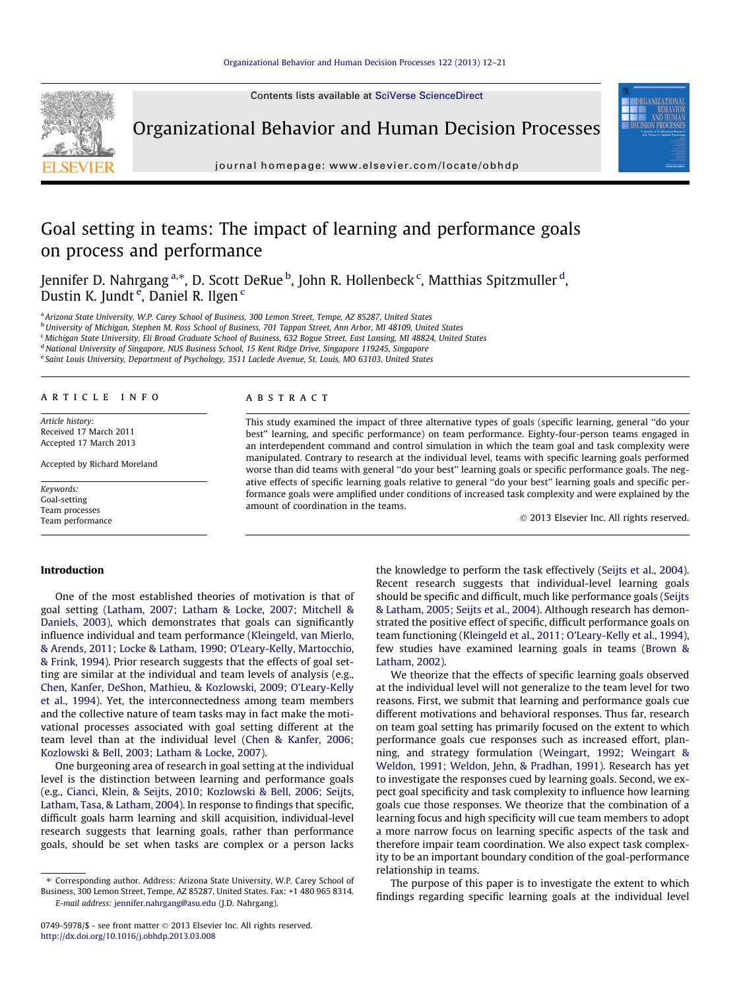Contents lists available at [SciVerse ScienceDirect](http://www.sciencedirect.com/science/journal/07495978)



Organizational Behavior and Human Decision Processes

journal homepage: [www.elsevier.com/locate/obhdp](http://www.elsevier.com/locate/obhdp)

## Goal setting in teams: The impact of learning and performance goals on process and performance

Jennifer D. Nahrgang <sup>a,</sup>\*, D. Scott DeRue <sup>b</sup>, John R. Hollenbeck <sup>c</sup>, Matthias Spitzmuller <sup>d</sup>, Dustin K. Jundt <sup>e</sup>, Daniel R. Ilgen <sup>c</sup>

a Arizona State University, W.P. Carey School of Business, 300 Lemon Street, Tempe, AZ 85287, United States

**b** University of Michigan, Stephen M. Ross School of Business, 701 Tappan Street, Ann Arbor, MI 48109, United States

<sup>c</sup> Michigan State University, Eli Broad Graduate School of Business, 632 Bogue Street, East Lansing, MI 48824, United States

<sup>d</sup> National University of Singapore, NUS Business School, 15 Kent Ridge Drive, Singapore 119245, Singapore

<sup>e</sup> Saint Louis University, Department of Psychology, 3511 Laclede Avenue, St. Louis, MO 63103, United States

#### article info

Article history: Received 17 March 2011 Accepted 17 March 2013

Accepted by Richard Moreland

Keywords: Goal-setting Team processes Team performance

#### ABSTRACT

This study examined the impact of three alternative types of goals (specific learning, general ''do your best'' learning, and specific performance) on team performance. Eighty-four-person teams engaged in an interdependent command and control simulation in which the team goal and task complexity were manipulated. Contrary to research at the individual level, teams with specific learning goals performed worse than did teams with general ''do your best'' learning goals or specific performance goals. The negative effects of specific learning goals relative to general ''do your best'' learning goals and specific performance goals were amplified under conditions of increased task complexity and were explained by the amount of coordination in the teams.

- 2013 Elsevier Inc. All rights reserved.

#### Introduction

One of the most established theories of motivation is that of goal setting [\(Latham, 2007; Latham & Locke, 2007; Mitchell &](#page--1-0) [Daniels, 2003](#page--1-0)), which demonstrates that goals can significantly influence individual and team performance ([Kleingeld, van Mierlo,](#page--1-0) [& Arends, 2011](#page--1-0); [Locke & Latham, 1990](#page--1-0); [O'Leary-Kelly, Martocchio,](#page--1-0) [& Frink, 1994\)](#page--1-0). Prior research suggests that the effects of goal setting are similar at the individual and team levels of analysis (e.g., [Chen, Kanfer, DeShon, Mathieu, & Kozlowski, 2009; O'Leary-Kelly](#page--1-0) [et al., 1994\)](#page--1-0). Yet, the interconnectedness among team members and the collective nature of team tasks may in fact make the motivational processes associated with goal setting different at the team level than at the individual level [\(Chen & Kanfer, 2006;](#page--1-0) [Kozlowski & Bell, 2003; Latham & Locke, 2007](#page--1-0)).

One burgeoning area of research in goal setting at the individual level is the distinction between learning and performance goals (e.g., [Cianci, Klein, & Seijts, 2010; Kozlowski & Bell, 2006; Seijts,](#page--1-0) [Latham, Tasa, & Latham, 2004\)](#page--1-0). In response to findings that specific, difficult goals harm learning and skill acquisition, individual-level research suggests that learning goals, rather than performance goals, should be set when tasks are complex or a person lacks the knowledge to perform the task effectively ([Seijts et al., 2004\)](#page--1-0). Recent research suggests that individual-level learning goals should be specific and difficult, much like performance goals ([Seijts](#page--1-0) [& Latham, 2005; Seijts et al., 2004\)](#page--1-0). Although research has demonstrated the positive effect of specific, difficult performance goals on team functioning [\(Kleingeld et al., 2011; O'Leary-Kelly et al., 1994\)](#page--1-0), few studies have examined learning goals in teams ([Brown &](#page--1-0) [Latham, 2002](#page--1-0)).

We theorize that the effects of specific learning goals observed at the individual level will not generalize to the team level for two reasons. First, we submit that learning and performance goals cue different motivations and behavioral responses. Thus far, research on team goal setting has primarily focused on the extent to which performance goals cue responses such as increased effort, planning, and strategy formulation ([Weingart, 1992; Weingart &](#page--1-0) [Weldon, 1991; Weldon, Jehn, & Pradhan, 1991\)](#page--1-0). Research has yet to investigate the responses cued by learning goals. Second, we expect goal specificity and task complexity to influence how learning goals cue those responses. We theorize that the combination of a learning focus and high specificity will cue team members to adopt a more narrow focus on learning specific aspects of the task and therefore impair team coordination. We also expect task complexity to be an important boundary condition of the goal-performance relationship in teams.

The purpose of this paper is to investigate the extent to which findings regarding specific learning goals at the individual level

<sup>⇑</sup> Corresponding author. Address: Arizona State University, W.P. Carey School of Business, 300 Lemon Street, Tempe, AZ 85287, United States. Fax: +1 480 965 8314. E-mail address: [jennifer.nahrgang@asu.edu](mailto:jennifer.nahrgang@asu.edu) (J.D. Nahrgang).

<sup>0749-5978/\$ -</sup> see front matter © 2013 Elsevier Inc. All rights reserved. <http://dx.doi.org/10.1016/j.obhdp.2013.03.008>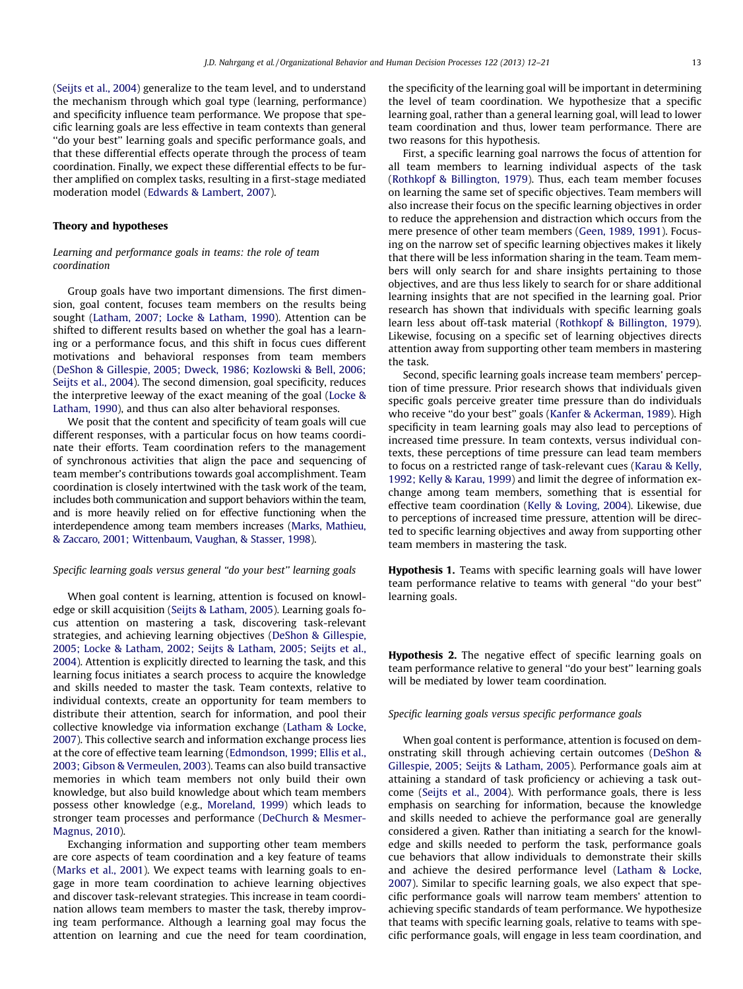([Seijts et al., 2004\)](#page--1-0) generalize to the team level, and to understand the mechanism through which goal type (learning, performance) and specificity influence team performance. We propose that specific learning goals are less effective in team contexts than general ''do your best'' learning goals and specific performance goals, and that these differential effects operate through the process of team coordination. Finally, we expect these differential effects to be further amplified on complex tasks, resulting in a first-stage mediated moderation model ([Edwards & Lambert, 2007\)](#page--1-0).

#### Theory and hypotheses

### Learning and performance goals in teams: the role of team coordination

Group goals have two important dimensions. The first dimension, goal content, focuses team members on the results being sought ([Latham, 2007; Locke & Latham, 1990](#page--1-0)). Attention can be shifted to different results based on whether the goal has a learning or a performance focus, and this shift in focus cues different motivations and behavioral responses from team members ([DeShon & Gillespie, 2005; Dweck, 1986; Kozlowski & Bell, 2006;](#page--1-0) [Seijts et al., 2004\)](#page--1-0). The second dimension, goal specificity, reduces the interpretive leeway of the exact meaning of the goal ([Locke &](#page--1-0) [Latham, 1990](#page--1-0)), and thus can also alter behavioral responses.

We posit that the content and specificity of team goals will cue different responses, with a particular focus on how teams coordinate their efforts. Team coordination refers to the management of synchronous activities that align the pace and sequencing of team member's contributions towards goal accomplishment. Team coordination is closely intertwined with the task work of the team, includes both communication and support behaviors within the team, and is more heavily relied on for effective functioning when the interdependence among team members increases ([Marks, Mathieu,](#page--1-0) [& Zaccaro, 2001; Wittenbaum, Vaughan, & Stasser, 1998](#page--1-0)).

#### Specific learning goals versus general ''do your best'' learning goals

When goal content is learning, attention is focused on knowledge or skill acquisition [\(Seijts & Latham, 2005](#page--1-0)). Learning goals focus attention on mastering a task, discovering task-relevant strategies, and achieving learning objectives [\(DeShon & Gillespie,](#page--1-0) [2005; Locke & Latham, 2002; Seijts & Latham, 2005; Seijts et al.,](#page--1-0) [2004](#page--1-0)). Attention is explicitly directed to learning the task, and this learning focus initiates a search process to acquire the knowledge and skills needed to master the task. Team contexts, relative to individual contexts, create an opportunity for team members to distribute their attention, search for information, and pool their collective knowledge via information exchange [\(Latham & Locke,](#page--1-0) [2007](#page--1-0)). This collective search and information exchange process lies at the core of effective team learning [\(Edmondson, 1999; Ellis et al.,](#page--1-0) [2003; Gibson & Vermeulen, 2003\)](#page--1-0). Teams can also build transactive memories in which team members not only build their own knowledge, but also build knowledge about which team members possess other knowledge (e.g., [Moreland, 1999\)](#page--1-0) which leads to stronger team processes and performance [\(DeChurch & Mesmer-](#page--1-0)[Magnus, 2010\)](#page--1-0).

Exchanging information and supporting other team members are core aspects of team coordination and a key feature of teams ([Marks et al., 2001](#page--1-0)). We expect teams with learning goals to engage in more team coordination to achieve learning objectives and discover task-relevant strategies. This increase in team coordination allows team members to master the task, thereby improving team performance. Although a learning goal may focus the attention on learning and cue the need for team coordination, the specificity of the learning goal will be important in determining the level of team coordination. We hypothesize that a specific learning goal, rather than a general learning goal, will lead to lower team coordination and thus, lower team performance. There are two reasons for this hypothesis.

First, a specific learning goal narrows the focus of attention for all team members to learning individual aspects of the task ([Rothkopf & Billington, 1979](#page--1-0)). Thus, each team member focuses on learning the same set of specific objectives. Team members will also increase their focus on the specific learning objectives in order to reduce the apprehension and distraction which occurs from the mere presence of other team members [\(Geen, 1989, 1991\)](#page--1-0). Focusing on the narrow set of specific learning objectives makes it likely that there will be less information sharing in the team. Team members will only search for and share insights pertaining to those objectives, and are thus less likely to search for or share additional learning insights that are not specified in the learning goal. Prior research has shown that individuals with specific learning goals learn less about off-task material ([Rothkopf & Billington, 1979\)](#page--1-0). Likewise, focusing on a specific set of learning objectives directs attention away from supporting other team members in mastering the task.

Second, specific learning goals increase team members' perception of time pressure. Prior research shows that individuals given specific goals perceive greater time pressure than do individuals who receive ''do your best'' goals [\(Kanfer & Ackerman, 1989](#page--1-0)). High specificity in team learning goals may also lead to perceptions of increased time pressure. In team contexts, versus individual contexts, these perceptions of time pressure can lead team members to focus on a restricted range of task-relevant cues [\(Karau & Kelly,](#page--1-0) [1992; Kelly & Karau, 1999](#page--1-0)) and limit the degree of information exchange among team members, something that is essential for effective team coordination [\(Kelly & Loving, 2004\)](#page--1-0). Likewise, due to perceptions of increased time pressure, attention will be directed to specific learning objectives and away from supporting other team members in mastering the task.

Hypothesis 1. Teams with specific learning goals will have lower team performance relative to teams with general ''do your best'' learning goals.

Hypothesis 2. The negative effect of specific learning goals on team performance relative to general ''do your best'' learning goals will be mediated by lower team coordination.

#### Specific learning goals versus specific performance goals

When goal content is performance, attention is focused on demonstrating skill through achieving certain outcomes ([DeShon &](#page--1-0) [Gillespie, 2005; Seijts & Latham, 2005](#page--1-0)). Performance goals aim at attaining a standard of task proficiency or achieving a task outcome ([Seijts et al., 2004\)](#page--1-0). With performance goals, there is less emphasis on searching for information, because the knowledge and skills needed to achieve the performance goal are generally considered a given. Rather than initiating a search for the knowledge and skills needed to perform the task, performance goals cue behaviors that allow individuals to demonstrate their skills and achieve the desired performance level ([Latham & Locke,](#page--1-0) [2007](#page--1-0)). Similar to specific learning goals, we also expect that specific performance goals will narrow team members' attention to achieving specific standards of team performance. We hypothesize that teams with specific learning goals, relative to teams with specific performance goals, will engage in less team coordination, and